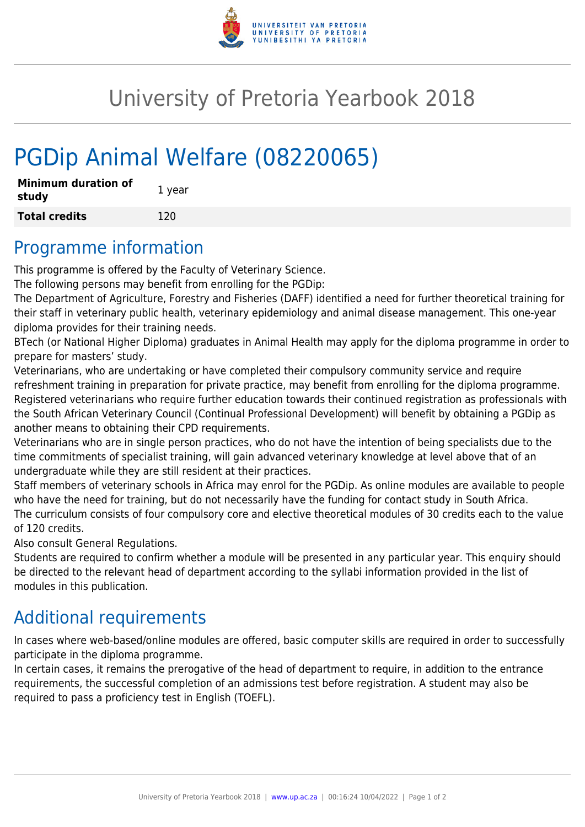

# University of Pretoria Yearbook 2018

# PGDip Animal Welfare (08220065)

| <b>Minimum duration of</b><br>study | 1 year |
|-------------------------------------|--------|
| <b>Total credits</b>                | 120    |

#### Programme information

This programme is offered by the Faculty of Veterinary Science.

The following persons may benefit from enrolling for the PGDip:

The Department of Agriculture, Forestry and Fisheries (DAFF) identified a need for further theoretical training for their staff in veterinary public health, veterinary epidemiology and animal disease management. This one-year diploma provides for their training needs.

BTech (or National Higher Diploma) graduates in Animal Health may apply for the diploma programme in order to prepare for masters' study.

Veterinarians, who are undertaking or have completed their compulsory community service and require refreshment training in preparation for private practice, may benefit from enrolling for the diploma programme. Registered veterinarians who require further education towards their continued registration as professionals with the South African Veterinary Council (Continual Professional Development) will benefit by obtaining a PGDip as another means to obtaining their CPD requirements.

Veterinarians who are in single person practices, who do not have the intention of being specialists due to the time commitments of specialist training, will gain advanced veterinary knowledge at level above that of an undergraduate while they are still resident at their practices.

Staff members of veterinary schools in Africa may enrol for the PGDip. As online modules are available to people who have the need for training, but do not necessarily have the funding for contact study in South Africa. The curriculum consists of four compulsory core and elective theoretical modules of 30 credits each to the value of 120 credits.

Also consult General Regulations.

Students are required to confirm whether a module will be presented in any particular year. This enquiry should be directed to the relevant head of department according to the syllabi information provided in the list of modules in this publication.

#### Additional requirements

In cases where web-based/online modules are offered, basic computer skills are required in order to successfully participate in the diploma programme.

In certain cases, it remains the prerogative of the head of department to require, in addition to the entrance requirements, the successful completion of an admissions test before registration. A student may also be required to pass a proficiency test in English (TOEFL).